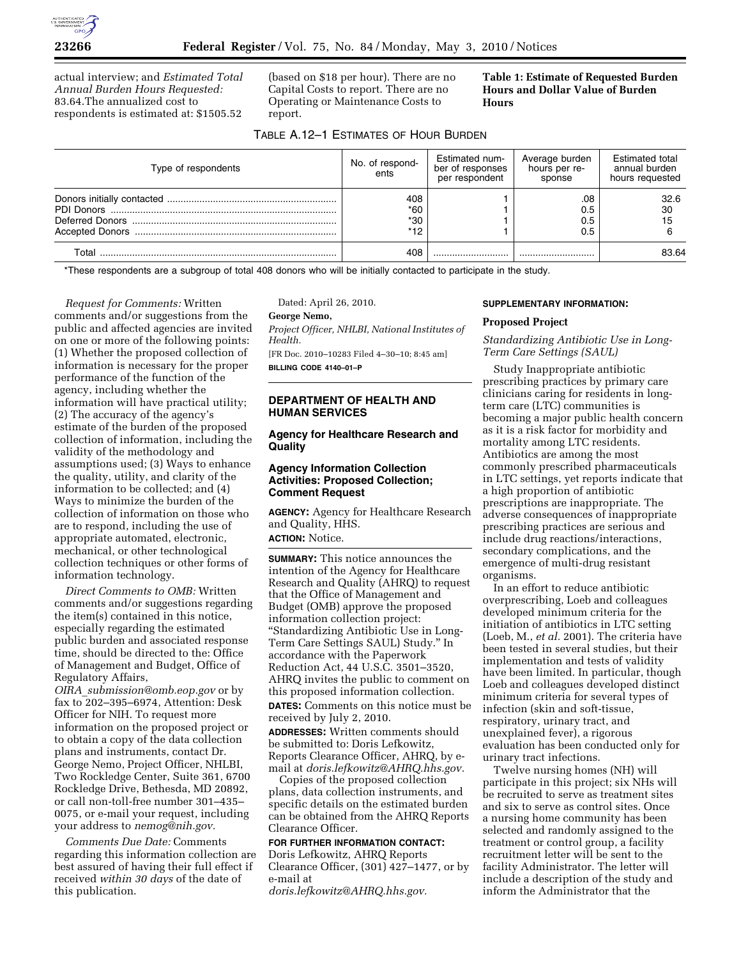actual interview; and *Estimated Total Annual Burden Hours Requested:*  83.64.The annualized cost to respondents is estimated at: \$1505.52

(based on \$18 per hour). There are no Capital Costs to report. There are no Operating or Maintenance Costs to report.

**Table 1: Estimate of Requested Burden Hours and Dollar Value of Burden Hours** 

### TABLE A.12–1 ESTIMATES OF HOUR BURDEN

| Type of respondents | No. of respond-<br>ents | Estimated num-<br>ber of responses<br>per respondent | Average burden<br>hours per re-<br>sponse | <b>Estimated total</b><br>annual burden<br>hours requested |
|---------------------|-------------------------|------------------------------------------------------|-------------------------------------------|------------------------------------------------------------|
|                     | 408                     |                                                      | .08                                       | 32.6                                                       |
|                     | *60                     |                                                      | 0.5                                       | 30                                                         |
|                     | $*30$                   |                                                      | 0.5                                       | 15                                                         |
|                     | $*12$                   |                                                      | 0.5                                       |                                                            |
| Total               | 408                     |                                                      |                                           | 83.64                                                      |

\*These respondents are a subgroup of total 408 donors who will be initially contacted to participate in the study.

*Request for Comments:* Written comments and/or suggestions from the public and affected agencies are invited on one or more of the following points: (1) Whether the proposed collection of information is necessary for the proper performance of the function of the agency, including whether the information will have practical utility; (2) The accuracy of the agency's estimate of the burden of the proposed collection of information, including the validity of the methodology and assumptions used; (3) Ways to enhance the quality, utility, and clarity of the information to be collected; and (4) Ways to minimize the burden of the collection of information on those who are to respond, including the use of appropriate automated, electronic, mechanical, or other technological collection techniques or other forms of information technology.

*Direct Comments to OMB:* Written comments and/or suggestions regarding the item(s) contained in this notice, especially regarding the estimated public burden and associated response time, should be directed to the: Office of Management and Budget, Office of Regulatory Affairs,

*OIRA*\_*submission@omb.eop.gov* or by fax to 202–395–6974, Attention: Desk Officer for NIH. To request more information on the proposed project or to obtain a copy of the data collection plans and instruments, contact Dr. George Nemo, Project Officer, NHLBI, Two Rockledge Center, Suite 361, 6700 Rockledge Drive, Bethesda, MD 20892, or call non-toll-free number 301–435– 0075, or e-mail your request, including your address to *nemog@nih.gov.* 

*Comments Due Date:* Comments regarding this information collection are best assured of having their full effect if received *within 30 days* of the date of this publication.

Dated: April 26, 2010.

**George Nemo,** 

*Project Officer, NHLBI, National Institutes of Health.*  [FR Doc. 2010–10283 Filed 4–30–10; 8:45 am]

**BILLING CODE 4140–01–P** 

# **DEPARTMENT OF HEALTH AND HUMAN SERVICES**

### **Agency for Healthcare Research and Quality**

## **Agency Information Collection Activities: Proposed Collection; Comment Request**

**AGENCY:** Agency for Healthcare Research and Quality, HHS. **ACTION:** Notice.

**SUMMARY:** This notice announces the intention of the Agency for Healthcare Research and Quality (AHRQ) to request that the Office of Management and Budget (OMB) approve the proposed information collection project: ''Standardizing Antibiotic Use in Long-Term Care Settings SAUL) Study.'' In accordance with the Paperwork Reduction Act, 44 U.S.C. 3501–3520, AHRQ invites the public to comment on this proposed information collection. **DATES:** Comments on this notice must be received by July 2, 2010.

**ADDRESSES:** Written comments should be submitted to: Doris Lefkowitz, Reports Clearance Officer, AHRQ, by email at *doris.lefkowitz@AHRQ.hhs.gov.* 

Copies of the proposed collection plans, data collection instruments, and specific details on the estimated burden can be obtained from the AHRQ Reports Clearance Officer.

### **FOR FURTHER INFORMATION CONTACT:**  Doris Lefkowitz, AHRQ Reports Clearance Officer, (301) 427–1477, or by e-mail at

*doris.lefkowitz@AHRQ.hhs.gov.* 

#### **SUPPLEMENTARY INFORMATION:**

#### **Proposed Project**

*Standardizing Antibiotic Use in Long-Term Care Settings (SAUL)* 

Study Inappropriate antibiotic prescribing practices by primary care clinicians caring for residents in longterm care (LTC) communities is becoming a major public health concern as it is a risk factor for morbidity and mortality among LTC residents. Antibiotics are among the most commonly prescribed pharmaceuticals in LTC settings, yet reports indicate that a high proportion of antibiotic prescriptions are inappropriate. The adverse consequences of inappropriate prescribing practices are serious and include drug reactions/interactions, secondary complications, and the emergence of multi-drug resistant organisms.

In an effort to reduce antibiotic overprescribing, Loeb and colleagues developed minimum criteria for the initiation of antibiotics in LTC setting (Loeb, M., *et al.* 2001). The criteria have been tested in several studies, but their implementation and tests of validity have been limited. In particular, though Loeb and colleagues developed distinct minimum criteria for several types of infection (skin and soft-tissue, respiratory, urinary tract, and unexplained fever), a rigorous evaluation has been conducted only for urinary tract infections.

Twelve nursing homes (NH) will participate in this project; six NHs will be recruited to serve as treatment sites and six to serve as control sites. Once a nursing home community has been selected and randomly assigned to the treatment or control group, a facility recruitment letter will be sent to the facility Administrator. The letter will include a description of the study and inform the Administrator that the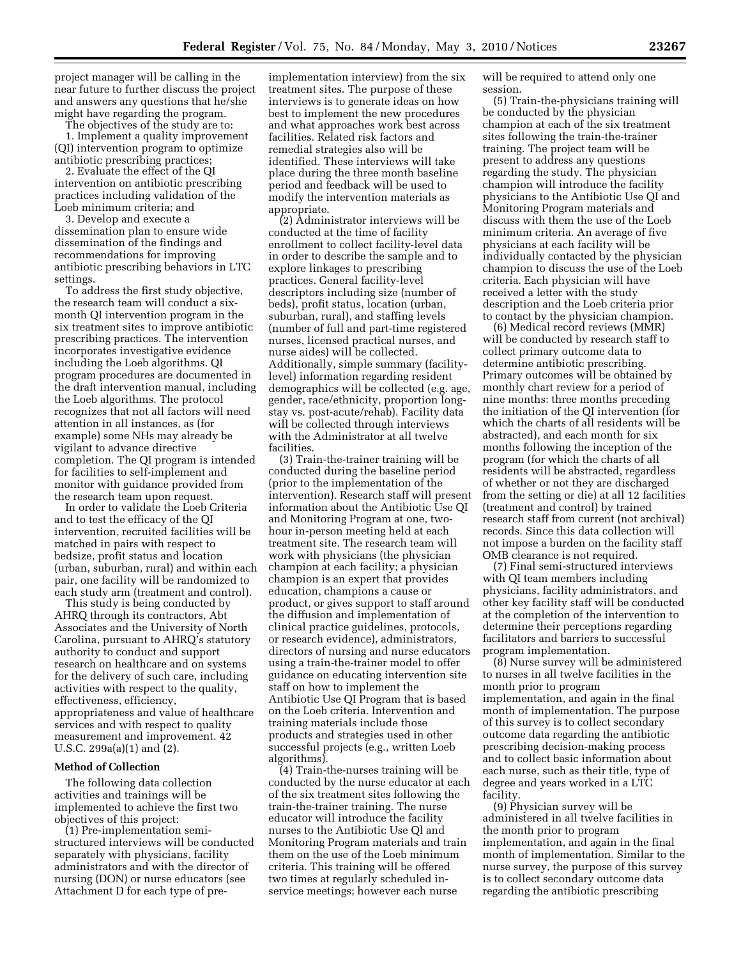project manager will be calling in the near future to further discuss the project and answers any questions that he/she might have regarding the program.

The objectives of the study are to:

1. Implement a quality improvement (QI) intervention program to optimize antibiotic prescribing practices;

2. Evaluate the effect of the QI intervention on antibiotic prescribing practices including validation of the Loeb minimum criteria; and

3. Develop and execute a dissemination plan to ensure wide dissemination of the findings and recommendations for improving antibiotic prescribing behaviors in LTC settings.

To address the first study objective, the research team will conduct a sixmonth QI intervention program in the six treatment sites to improve antibiotic prescribing practices. The intervention incorporates investigative evidence including the Loeb algorithms. QI program procedures are documented in the draft intervention manual, including the Loeb algorithms. The protocol recognizes that not all factors will need attention in all instances, as (for example) some NHs may already be vigilant to advance directive completion. The QI program is intended for facilities to self-implement and monitor with guidance provided from the research team upon request.

In order to validate the Loeb Criteria and to test the efficacy of the QI intervention, recruited facilities will be matched in pairs with respect to bedsize, profit status and location (urban, suburban, rural) and within each pair, one facility will be randomized to each study arm (treatment and control).

This study is being conducted by AHRQ through its contractors, Abt Associates and the University of North Carolina, pursuant to AHRQ's statutory authority to conduct and support research on healthcare and on systems for the delivery of such care, including activities with respect to the quality, effectiveness, efficiency, appropriateness and value of healthcare services and with respect to quality measurement and improvement. 42 U.S.C. 299a(a)(1) and (2).

#### **Method of Collection**

The following data collection activities and trainings will be implemented to achieve the first two objectives of this project:

(1) Pre-implementation semistructured interviews will be conducted separately with physicians, facility administrators and with the director of nursing (DON) or nurse educators (see Attachment D for each type of pre-

implementation interview) from the six treatment sites. The purpose of these interviews is to generate ideas on how best to implement the new procedures and what approaches work best across facilities. Related risk factors and remedial strategies also will be identified. These interviews will take place during the three month baseline period and feedback will be used to modify the intervention materials as appropriate.

(2) Administrator interviews will be conducted at the time of facility enrollment to collect facility-level data in order to describe the sample and to explore linkages to prescribing practices. General facility-level descriptors including size (number of beds), profit status, location (urban, suburban, rural), and staffing levels (number of full and part-time registered nurses, licensed practical nurses, and nurse aides) will be collected. Additionally, simple summary (facilitylevel) information regarding resident demographics will be collected (e.g. age, gender, race/ethnicity, proportion longstay vs. post-acute/rehab). Facility data will be collected through interviews with the Administrator at all twelve facilities.

(3) Train-the-trainer training will be conducted during the baseline period (prior to the implementation of the intervention). Research staff will present information about the Antibiotic Use QI and Monitoring Program at one, twohour in-person meeting held at each treatment site. The research team will work with physicians (the physician champion at each facility; a physician champion is an expert that provides education, champions a cause or product, or gives support to staff around the diffusion and implementation of clinical practice guidelines, protocols, or research evidence), administrators, directors of nursing and nurse educators using a train-the-trainer model to offer guidance on educating intervention site staff on how to implement the Antibiotic Use QI Program that is based on the Loeb criteria. Intervention and training materials include those products and strategies used in other successful projects (e.g., written Loeb algorithms).

(4) Train-the-nurses training will be conducted by the nurse educator at each of the six treatment sites following the train-the-trainer training. The nurse educator will introduce the facility nurses to the Antibiotic Use Ql and Monitoring Program materials and train them on the use of the Loeb minimum criteria. This training will be offered two times at regularly scheduled inservice meetings; however each nurse

will be required to attend only one session.

(5) Train-the-physicians training will be conducted by the physician champion at each of the six treatment sites following the train-the-trainer training. The project team will be present to address any questions regarding the study. The physician champion will introduce the facility physicians to the Antibiotic Use QI and Monitoring Program materials and discuss with them the use of the Loeb minimum criteria. An average of five physicians at each facility will be individually contacted by the physician champion to discuss the use of the Loeb criteria. Each physician will have received a letter with the study description and the Loeb criteria prior to contact by the physician champion.

(6) Medical record reviews (MMR) will be conducted by research staff to collect primary outcome data to determine antibiotic prescribing. Primary outcomes will be obtained by monthly chart review for a period of nine months: three months preceding the initiation of the QI intervention (for which the charts of all residents will be abstracted), and each month for six months following the inception of the program (for which the charts of all residents will be abstracted, regardless of whether or not they are discharged from the setting or die) at all 12 facilities (treatment and control) by trained research staff from current (not archival) records. Since this data collection will not impose a burden on the facility staff OMB clearance is not required.

(7) Final semi-structured interviews with QI team members including physicians, facility administrators, and other key facility staff will be conducted at the completion of the intervention to determine their perceptions regarding facilitators and barriers to successful program implementation.

(8) Nurse survey will be administered to nurses in all twelve facilities in the month prior to program implementation, and again in the final month of implementation. The purpose of this survey is to collect secondary outcome data regarding the antibiotic prescribing decision-making process and to collect basic information about each nurse, such as their title, type of degree and years worked in a LTC facility.

(9) Physician survey will be administered in all twelve facilities in the month prior to program implementation, and again in the final month of implementation. Similar to the nurse survey, the purpose of this survey is to collect secondary outcome data regarding the antibiotic prescribing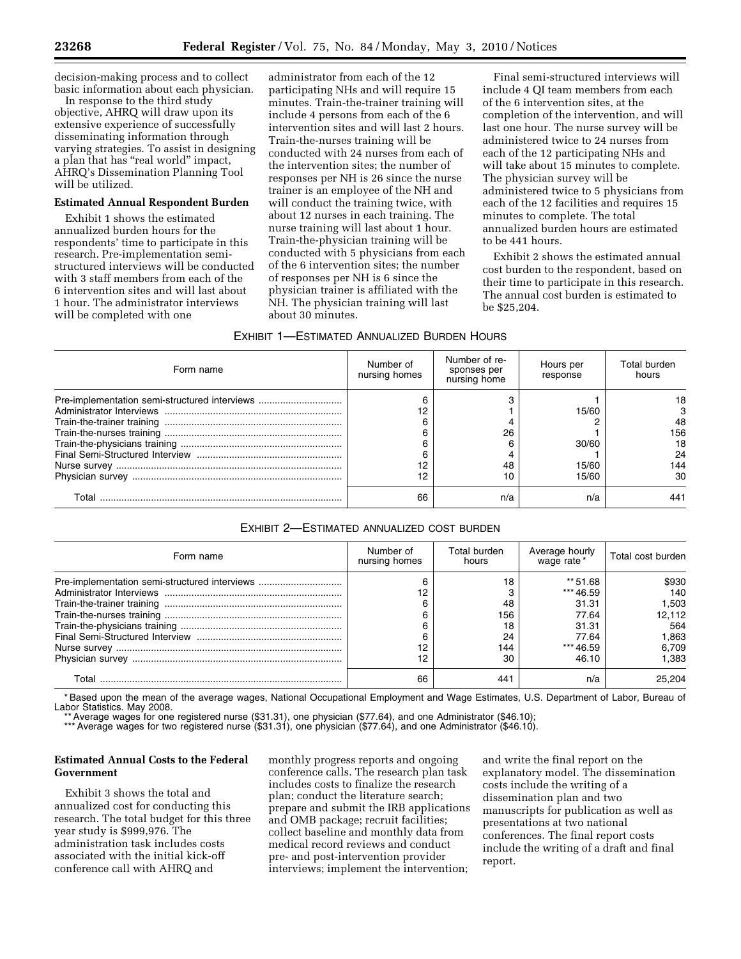decision-making process and to collect basic information about each physician.

In response to the third study objective, AHRQ will draw upon its extensive experience of successfully disseminating information through varying strategies. To assist in designing a plan that has ''real world'' impact, AHRQ's Dissemination Planning Tool will be utilized.

#### **Estimated Annual Respondent Burden**

Exhibit 1 shows the estimated annualized burden hours for the respondents' time to participate in this research. Pre-implementation semistructured interviews will be conducted with 3 staff members from each of the 6 intervention sites and will last about 1 hour. The administrator interviews will be completed with one

administrator from each of the 12 participating NHs and will require 15 minutes. Train-the-trainer training will include 4 persons from each of the 6 intervention sites and will last 2 hours. Train-the-nurses training will be conducted with 24 nurses from each of the intervention sites; the number of responses per NH is 26 since the nurse trainer is an employee of the NH and will conduct the training twice, with about 12 nurses in each training. The nurse training will last about 1 hour. Train-the-physician training will be conducted with 5 physicians from each of the 6 intervention sites; the number of responses per NH is 6 since the physician trainer is affiliated with the NH. The physician training will last about 30 minutes.

Final semi-structured interviews will include 4 QI team members from each of the 6 intervention sites, at the completion of the intervention, and will last one hour. The nurse survey will be administered twice to 24 nurses from each of the 12 participating NHs and will take about 15 minutes to complete. The physician survey will be administered twice to 5 physicians from each of the 12 facilities and requires 15 minutes to complete. The total annualized burden hours are estimated to be 441 hours.

Exhibit 2 shows the estimated annual cost burden to the respondent, based on their time to participate in this research. The annual cost burden is estimated to be \$25,204.

#### EXHIBIT 1—ESTIMATED ANNUALIZED BURDEN HOURS

| Form name                                     | Number of<br>nursing homes | Number of re-<br>sponses per<br>nursing home | Hours per<br>response | Total burden<br>hours |
|-----------------------------------------------|----------------------------|----------------------------------------------|-----------------------|-----------------------|
| Pre-implementation semi-structured interviews |                            |                                              | 15/60                 | 18                    |
|                                               |                            |                                              |                       | 48                    |
|                                               |                            | 26                                           | 30/60                 | 156<br>18             |
|                                               |                            |                                              |                       | 24                    |
|                                               |                            | 48                                           | 15/60                 | 144                   |
|                                               | 12                         | 10                                           | 15/60                 | 30                    |
| Total                                         | 66                         | n/a                                          | n/a                   | 441                   |

### EXHIBIT 2—ESTIMATED ANNUALIZED COST BURDEN

| Form name                                     | Number of<br>nursing homes | Total burden<br>hours                    | Average hourly<br>wage rate*                                                    | Total cost burden                                                 |
|-----------------------------------------------|----------------------------|------------------------------------------|---------------------------------------------------------------------------------|-------------------------------------------------------------------|
| Pre-implementation semi-structured interviews | 12<br>12<br>12             | 18<br>48<br>156<br>18<br>24<br>144<br>30 | ** 51.68<br>*** 46.59<br>31.31<br>77.64<br>31.31<br>77.64<br>*** 46.59<br>46.10 | \$930<br>140<br>1.503<br>12.112<br>564<br>1.863<br>6,709<br>1.383 |
| Total                                         | 66                         | 44                                       | n/a                                                                             | 25.204                                                            |

\* Based upon the mean of the average wages, National Occupational Employment and Wage Estimates, U.S. Department of Labor, Bureau of Labor Statistics. May 2008.

\* Average wages for one registered nurse (\$31.31), one physician (\$77.64), and one Administrator (\$46.10);

\*\*\* Average wages for two registered nurse (\$31.31), one physician (\$77.64), and one Administrator (\$46.10).

## **Estimated Annual Costs to the Federal Government**

Exhibit 3 shows the total and annualized cost for conducting this research. The total budget for this three year study is \$999,976. The administration task includes costs associated with the initial kick-off conference call with AHRQ and

monthly progress reports and ongoing conference calls. The research plan task includes costs to finalize the research plan; conduct the literature search; prepare and submit the IRB applications and OMB package; recruit facilities; collect baseline and monthly data from medical record reviews and conduct pre- and post-intervention provider interviews; implement the intervention;

and write the final report on the explanatory model. The dissemination costs include the writing of a dissemination plan and two manuscripts for publication as well as presentations at two national conferences. The final report costs include the writing of a draft and final report.